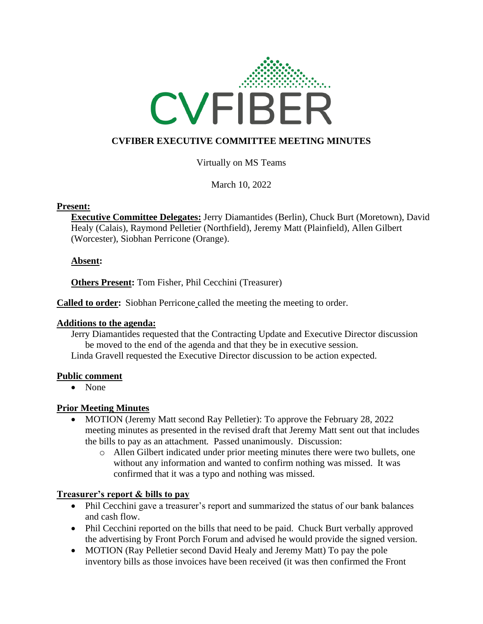

# **CVFIBER EXECUTIVE COMMITTEE MEETING MINUTES**

Virtually on MS Teams

March 10, 2022

#### **Present:**

**Executive Committee Delegates:** Jerry Diamantides (Berlin), Chuck Burt (Moretown), David Healy (Calais), Raymond Pelletier (Northfield), Jeremy Matt (Plainfield), Allen Gilbert (Worcester), Siobhan Perricone (Orange).

# **Absent:**

**Others Present:** Tom Fisher, Phil Cecchini (Treasurer)

**Called to order:** Siobhan Perricone called the meeting the meeting to order.

# **Additions to the agenda:**

Jerry Diamantides requested that the Contracting Update and Executive Director discussion be moved to the end of the agenda and that they be in executive session.

Linda Gravell requested the Executive Director discussion to be action expected.

# **Public comment**

• None

# **Prior Meeting Minutes**

- MOTION (Jeremy Matt second Ray Pelletier): To approve the February 28, 2022 meeting minutes as presented in the revised draft that Jeremy Matt sent out that includes the bills to pay as an attachment*.* Passed unanimously. Discussion:
	- o Allen Gilbert indicated under prior meeting minutes there were two bullets, one without any information and wanted to confirm nothing was missed. It was confirmed that it was a typo and nothing was missed.

# **Treasurer's report & bills to pay**

- Phil Cecchini gave a treasurer's report and summarized the status of our bank balances and cash flow.
- Phil Cecchini reported on the bills that need to be paid. Chuck Burt verbally approved the advertising by Front Porch Forum and advised he would provide the signed version.
- MOTION (Ray Pelletier second David Healy and Jeremy Matt) To pay the pole inventory bills as those invoices have been received (it was then confirmed the Front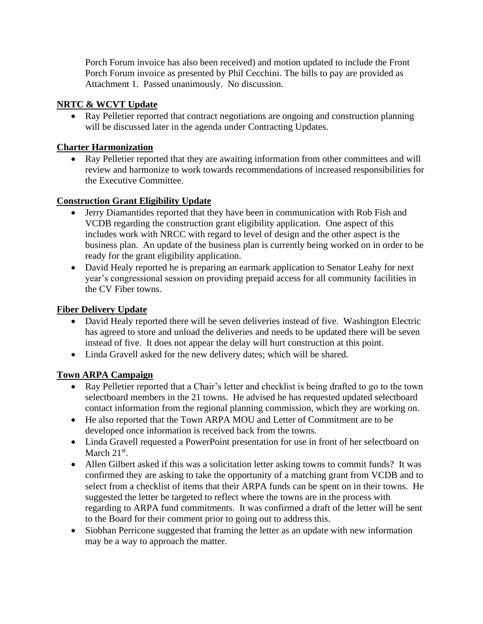Porch Forum invoice has also been received) and motion updated to include the Front Porch Forum invoice as presented by Phil Cecchini. The bills to pay are provided as Attachment 1. Passed unanimously. No discussion.

# **NRTC & WCVT Update**

• Ray Pelletier reported that contract negotiations are ongoing and construction planning will be discussed later in the agenda under Contracting Updates.

# **Charter Harmonization**

• Ray Pelletier reported that they are awaiting information from other committees and will review and harmonize to work towards recommendations of increased responsibilities for the Executive Committee.

# **Construction Grant Eligibility Update**

- Jerry Diamantides reported that they have been in communication with Rob Fish and VCDB regarding the construction grant eligibility application. One aspect of this includes work with NRCC with regard to level of design and the other aspect is the business plan. An update of the business plan is currently being worked on in order to be ready for the grant eligibility application.
- David Healy reported he is preparing an earmark application to Senator Leahy for next year's congressional session on providing prepaid access for all community facilities in the CV Fiber towns.

# **Fiber Delivery Update**

- David Healy reported there will be seven deliveries instead of five. Washington Electric has agreed to store and unload the deliveries and needs to be updated there will be seven instead of five. It does not appear the delay will hurt construction at this point.
- Linda Gravell asked for the new delivery dates; which will be shared.

# **Town ARPA Campaign**

- Ray Pelletier reported that a Chair's letter and checklist is being drafted to go to the town selectboard members in the 21 towns. He advised he has requested updated selectboard contact information from the regional planning commission, which they are working on.
- He also reported that the Town ARPA MOU and Letter of Commitment are to be developed once information is received back from the towns.
- Linda Gravell requested a PowerPoint presentation for use in front of her selectboard on March  $21<sup>st</sup>$ .
- Allen Gilbert asked if this was a solicitation letter asking towns to commit funds? It was confirmed they are asking to take the opportunity of a matching grant from VCDB and to select from a checklist of items that their ARPA funds can be spent on in their towns. He suggested the letter be targeted to reflect where the towns are in the process with regarding to ARPA fund commitments. It was confirmed a draft of the letter will be sent to the Board for their comment prior to going out to address this.
- Siobhan Perricone suggested that framing the letter as an update with new information may be a way to approach the matter.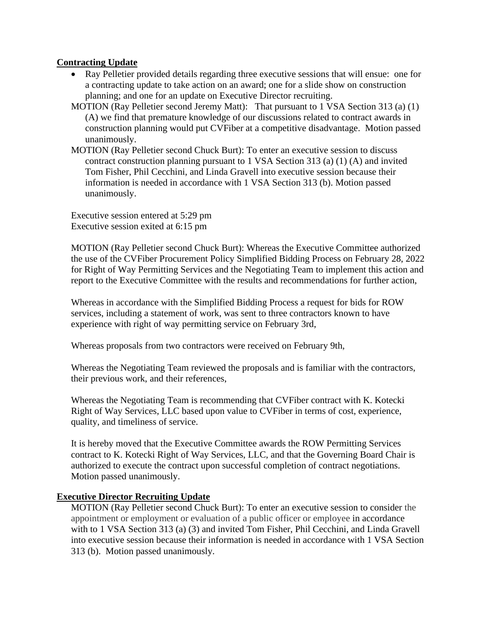# **Contracting Update**

- Ray Pelletier provided details regarding three executive sessions that will ensue: one for a contracting update to take action on an award; one for a slide show on construction planning; and one for an update on Executive Director recruiting.
- MOTION (Ray Pelletier second Jeremy Matt): That pursuant to 1 VSA Section 313 (a) (1) (A) we find that premature knowledge of our discussions related to contract awards in construction planning would put CVFiber at a competitive disadvantage. Motion passed unanimously.
- MOTION (Ray Pelletier second Chuck Burt): To enter an executive session to discuss contract construction planning pursuant to 1 VSA Section 313 (a) (1) (A) and invited Tom Fisher, Phil Cecchini, and Linda Gravell into executive session because their information is needed in accordance with 1 VSA Section 313 (b). Motion passed unanimously.

Executive session entered at 5:29 pm Executive session exited at 6:15 pm

MOTION (Ray Pelletier second Chuck Burt): Whereas the Executive Committee authorized the use of the CVFiber Procurement Policy Simplified Bidding Process on February 28, 2022 for Right of Way Permitting Services and the Negotiating Team to implement this action and report to the Executive Committee with the results and recommendations for further action,

Whereas in accordance with the Simplified Bidding Process a request for bids for ROW services, including a statement of work, was sent to three contractors known to have experience with right of way permitting service on February 3rd,

Whereas proposals from two contractors were received on February 9th,

Whereas the Negotiating Team reviewed the proposals and is familiar with the contractors, their previous work, and their references,

Whereas the Negotiating Team is recommending that CVFiber contract with K. Kotecki Right of Way Services, LLC based upon value to CVFiber in terms of cost, experience, quality, and timeliness of service.

It is hereby moved that the Executive Committee awards the ROW Permitting Services contract to K. Kotecki Right of Way Services, LLC, and that the Governing Board Chair is authorized to execute the contract upon successful completion of contract negotiations. Motion passed unanimously.

# **Executive Director Recruiting Update**

MOTION (Ray Pelletier second Chuck Burt): To enter an executive session to consider the appointment or employment or evaluation of a public officer or employee in accordance with to 1 VSA Section 313 (a) (3) and invited Tom Fisher, Phil Cecchini, and Linda Gravell into executive session because their information is needed in accordance with 1 VSA Section 313 (b). Motion passed unanimously.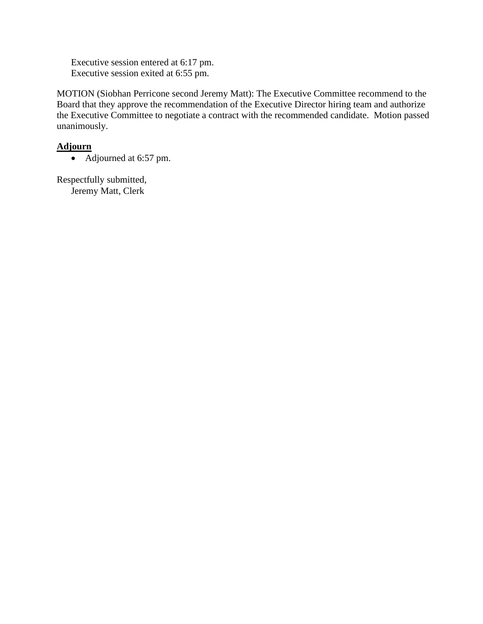Executive session entered at 6:17 pm. Executive session exited at 6:55 pm.

MOTION (Siobhan Perricone second Jeremy Matt): The Executive Committee recommend to the Board that they approve the recommendation of the Executive Director hiring team and authorize the Executive Committee to negotiate a contract with the recommended candidate. Motion passed unanimously.

# **Adjourn**

• Adjourned at 6:57 pm.

Respectfully submitted, Jeremy Matt, Clerk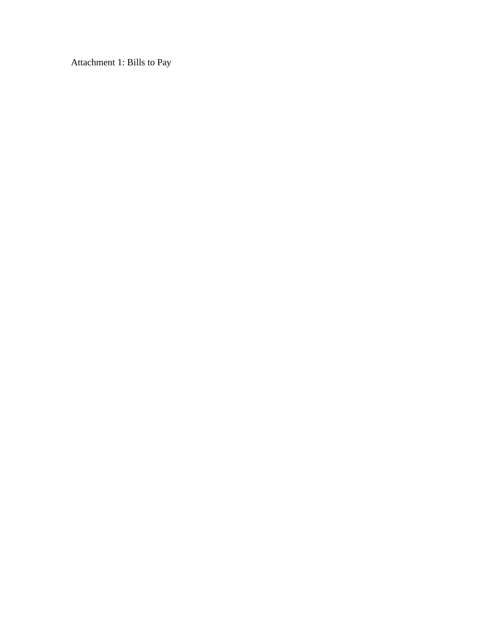Attachment 1: Bills to Pay